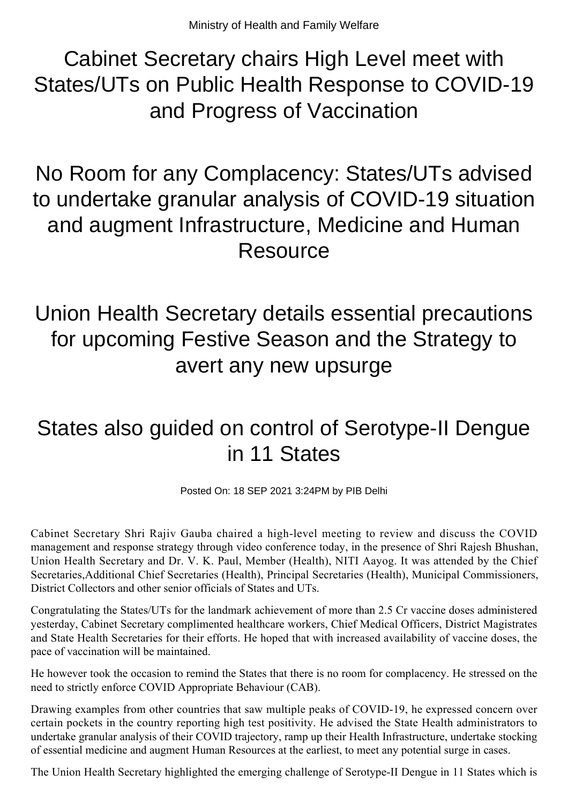Cabinet Secretary chairs High Level meet with States/UTs on Public Health Response to COVID-19 and Progress of Vaccination

No Room for any Complacency: States/UTs advised to undertake granular analysis of COVID-19 situation and augment Infrastructure, Medicine and Human **Resource** 

Union Health Secretary details essential precautions for upcoming Festive Season and the Strategy to avert any new upsurge

## States also guided on control of Serotype-II Dengue in 11 States

Posted On: 18 SEP 2021 3:24PM by PIB Delhi

Cabinet Secretary Shri Rajiv Gauba chaired a high-level meeting to review and discuss the COVID management and response strategy through video conference today, in the presence of Shri Rajesh Bhushan, Union Health Secretary and Dr. V. K. Paul, Member (Health), NITI Aayog. It was attended by the Chief Secretaries,Additional Chief Secretaries (Health), Principal Secretaries (Health), Municipal Commissioners, District Collectors and other senior officials of States and UTs.

Congratulating the States/UTs for the landmark achievement of more than 2.5 Cr vaccine doses administered yesterday, Cabinet Secretary complimented healthcare workers, Chief Medical Officers, District Magistrates and State Health Secretaries for their efforts. He hoped that with increased availability of vaccine doses, the pace of vaccination will be maintained.

He however took the occasion to remind the States that there is no room for complacency. He stressed on the need to strictly enforce COVID Appropriate Behaviour (CAB).

Drawing examples from other countries that saw multiple peaks of COVID-19, he expressed concern over certain pockets in the country reporting high test positivity. He advised the State Health administrators to undertake granular analysis of their COVID trajectory, ramp up their Health Infrastructure, undertake stocking of essential medicine and augment Human Resources at the earliest, to meet any potential surge in cases.

The Union Health Secretary highlighted the emerging challenge of Serotype-II Dengue in 11 States which is